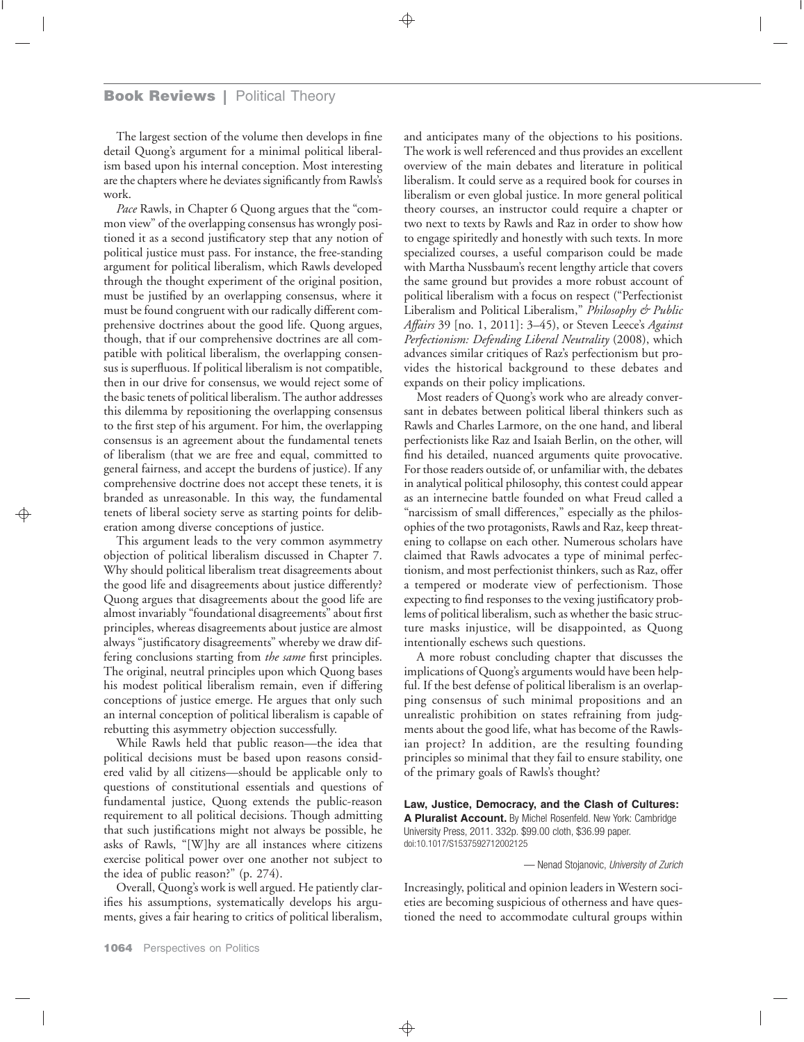## **Book Reviews |** Political Theory

The largest section of the volume then develops in fine detail Quong's argument for a minimal political liberalism based upon his internal conception. Most interesting are the chapters where he deviates significantly from Rawls's work.

*Pace* Rawls, in Chapter 6 Quong argues that the "common view" of the overlapping consensus has wrongly positioned it as a second justificatory step that any notion of political justice must pass. For instance, the free-standing argument for political liberalism, which Rawls developed through the thought experiment of the original position, must be justified by an overlapping consensus, where it must be found congruent with our radically different comprehensive doctrines about the good life. Quong argues, though, that if our comprehensive doctrines are all compatible with political liberalism, the overlapping consensus is superfluous. If political liberalism is not compatible, then in our drive for consensus, we would reject some of the basic tenets of political liberalism. The author addresses this dilemma by repositioning the overlapping consensus to the first step of his argument. For him, the overlapping consensus is an agreement about the fundamental tenets of liberalism (that we are free and equal, committed to general fairness, and accept the burdens of justice). If any comprehensive doctrine does not accept these tenets, it is branded as unreasonable. In this way, the fundamental tenets of liberal society serve as starting points for deliberation among diverse conceptions of justice.

This argument leads to the very common asymmetry objection of political liberalism discussed in Chapter 7. Why should political liberalism treat disagreements about the good life and disagreements about justice differently? Quong argues that disagreements about the good life are almost invariably "foundational disagreements" about first principles, whereas disagreements about justice are almost always "justificatory disagreements" whereby we draw differing conclusions starting from *the same* first principles. The original, neutral principles upon which Quong bases his modest political liberalism remain, even if differing conceptions of justice emerge. He argues that only such an internal conception of political liberalism is capable of rebutting this asymmetry objection successfully.

While Rawls held that public reason—the idea that political decisions must be based upon reasons considered valid by all citizens—should be applicable only to questions of constitutional essentials and questions of fundamental justice, Quong extends the public-reason requirement to all political decisions. Though admitting that such justifications might not always be possible, he asks of Rawls, "[W]hy are all instances where citizens exercise political power over one another not subject to the idea of public reason?" (p. 274).

Overall, Quong's work is well argued. He patiently clarifies his assumptions, systematically develops his arguments, gives a fair hearing to critics of political liberalism,

and anticipates many of the objections to his positions. The work is well referenced and thus provides an excellent overview of the main debates and literature in political liberalism. It could serve as a required book for courses in liberalism or even global justice. In more general political theory courses, an instructor could require a chapter or two next to texts by Rawls and Raz in order to show how to engage spiritedly and honestly with such texts. In more specialized courses, a useful comparison could be made with Martha Nussbaum's recent lengthy article that covers the same ground but provides a more robust account of political liberalism with a focus on respect ("Perfectionist Liberalism and Political Liberalism," *Philosophy & Public Affairs* 39 [no. 1, 2011]: 3–45), or Steven Leece's *Against Perfectionism: Defending Liberal Neutrality* (2008), which advances similar critiques of Raz's perfectionism but provides the historical background to these debates and expands on their policy implications.

Most readers of Quong's work who are already conversant in debates between political liberal thinkers such as Rawls and Charles Larmore, on the one hand, and liberal perfectionists like Raz and Isaiah Berlin, on the other, will find his detailed, nuanced arguments quite provocative. For those readers outside of, or unfamiliar with, the debates in analytical political philosophy, this contest could appear as an internecine battle founded on what Freud called a "narcissism of small differences," especially as the philosophies of the two protagonists, Rawls and Raz, keep threatening to collapse on each other. Numerous scholars have claimed that Rawls advocates a type of minimal perfectionism, and most perfectionist thinkers, such as Raz, offer a tempered or moderate view of perfectionism. Those expecting to find responses to the vexing justificatory problems of political liberalism, such as whether the basic structure masks injustice, will be disappointed, as Quong intentionally eschews such questions.

A more robust concluding chapter that discusses the implications of Quong's arguments would have been helpful. If the best defense of political liberalism is an overlapping consensus of such minimal propositions and an unrealistic prohibition on states refraining from judgments about the good life, what has become of the Rawlsian project? In addition, are the resulting founding principles so minimal that they fail to ensure stability, one of the primary goals of Rawls's thought?

**Law, Justice, Democracy, and the Clash of Cultures: A Pluralist Account.** By Michel Rosenfeld. New York: Cambridge University Press, 2011. 332p. \$99.00 cloth, \$36.99 paper. doi:10.1017/S1537592712002125

— Nenad Stojanovic, *University of Zurich*

Increasingly, political and opinion leaders in Western societies are becoming suspicious of otherness and have questioned the need to accommodate cultural groups within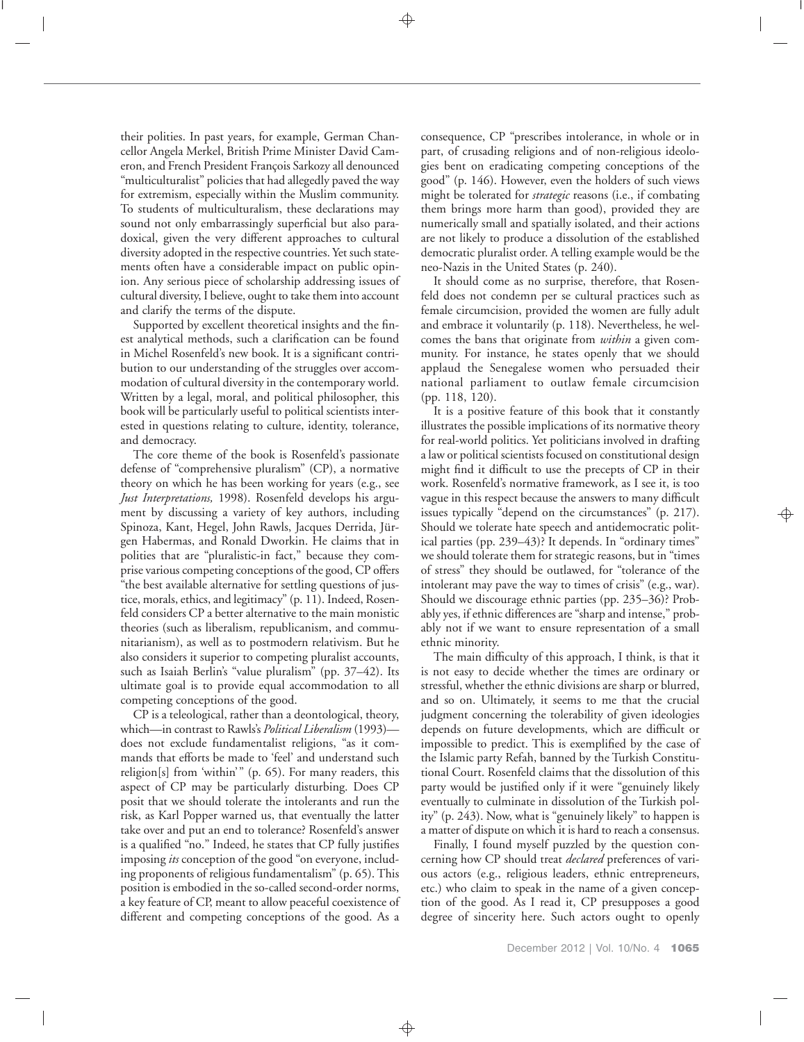their polities. In past years, for example, German Chancellor Angela Merkel, British Prime Minister David Cameron, and French President François Sarkozy all denounced "multiculturalist" policies that had allegedly paved the way for extremism, especially within the Muslim community. To students of multiculturalism, these declarations may sound not only embarrassingly superficial but also paradoxical, given the very different approaches to cultural diversity adopted in the respective countries. Yet such statements often have a considerable impact on public opinion. Any serious piece of scholarship addressing issues of cultural diversity, I believe, ought to take them into account and clarify the terms of the dispute.

Supported by excellent theoretical insights and the finest analytical methods, such a clarification can be found in Michel Rosenfeld's new book. It is a significant contribution to our understanding of the struggles over accommodation of cultural diversity in the contemporary world. Written by a legal, moral, and political philosopher, this book will be particularly useful to political scientists interested in questions relating to culture, identity, tolerance, and democracy.

The core theme of the book is Rosenfeld's passionate defense of "comprehensive pluralism" (CP), a normative theory on which he has been working for years (e.g., see *Just Interpretations,* 1998). Rosenfeld develops his argument by discussing a variety of key authors, including Spinoza, Kant, Hegel, John Rawls, Jacques Derrida, Jürgen Habermas, and Ronald Dworkin. He claims that in polities that are "pluralistic-in fact," because they comprise various competing conceptions of the good, CP offers "the best available alternative for settling questions of justice, morals, ethics, and legitimacy" (p. 11). Indeed, Rosenfeld considers CP a better alternative to the main monistic theories (such as liberalism, republicanism, and communitarianism), as well as to postmodern relativism. But he also considers it superior to competing pluralist accounts, such as Isaiah Berlin's "value pluralism" (pp. 37–42). Its ultimate goal is to provide equal accommodation to all competing conceptions of the good.

CP is a teleological, rather than a deontological, theory, which—in contrast to Rawls's *Political Liberalism* (1993) does not exclude fundamentalist religions, "as it commands that efforts be made to 'feel' and understand such religion[s] from 'within'" (p. 65). For many readers, this aspect of CP may be particularly disturbing. Does CP posit that we should tolerate the intolerants and run the risk, as Karl Popper warned us, that eventually the latter take over and put an end to tolerance? Rosenfeld's answer is a qualified "no." Indeed, he states that CP fully justifies imposing *its* conception of the good "on everyone, including proponents of religious fundamentalism" (p. 65). This position is embodied in the so-called second-order norms, a key feature of CP, meant to allow peaceful coexistence of different and competing conceptions of the good. As a

consequence, CP "prescribes intolerance, in whole or in part, of crusading religions and of non-religious ideologies bent on eradicating competing conceptions of the good" (p. 146). However, even the holders of such views might be tolerated for *strategic* reasons (i.e., if combating them brings more harm than good), provided they are numerically small and spatially isolated, and their actions are not likely to produce a dissolution of the established democratic pluralist order. A telling example would be the neo-Nazis in the United States (p. 240).

It should come as no surprise, therefore, that Rosenfeld does not condemn per se cultural practices such as female circumcision, provided the women are fully adult and embrace it voluntarily (p. 118). Nevertheless, he welcomes the bans that originate from *within* a given community. For instance, he states openly that we should applaud the Senegalese women who persuaded their national parliament to outlaw female circumcision (pp. 118, 120).

It is a positive feature of this book that it constantly illustrates the possible implications of its normative theory for real-world politics. Yet politicians involved in drafting a law or political scientists focused on constitutional design might find it difficult to use the precepts of CP in their work. Rosenfeld's normative framework, as I see it, is too vague in this respect because the answers to many difficult issues typically "depend on the circumstances" (p. 217). Should we tolerate hate speech and antidemocratic political parties (pp. 239–43)? It depends. In "ordinary times" we should tolerate them for strategic reasons, but in "times of stress" they should be outlawed, for "tolerance of the intolerant may pave the way to times of crisis" (e.g., war). Should we discourage ethnic parties (pp. 235–36)? Probably yes, if ethnic differences are "sharp and intense," probably not if we want to ensure representation of a small ethnic minority.

The main difficulty of this approach, I think, is that it is not easy to decide whether the times are ordinary or stressful, whether the ethnic divisions are sharp or blurred, and so on. Ultimately, it seems to me that the crucial judgment concerning the tolerability of given ideologies depends on future developments, which are difficult or impossible to predict. This is exemplified by the case of the Islamic party Refah, banned by the Turkish Constitutional Court. Rosenfeld claims that the dissolution of this party would be justified only if it were "genuinely likely eventually to culminate in dissolution of the Turkish polity" (p. 243). Now, what is "genuinely likely" to happen is a matter of dispute on which it is hard to reach a consensus.

Finally, I found myself puzzled by the question concerning how CP should treat *declared* preferences of various actors (e.g., religious leaders, ethnic entrepreneurs, etc.) who claim to speak in the name of a given conception of the good. As I read it, CP presupposes a good degree of sincerity here. Such actors ought to openly